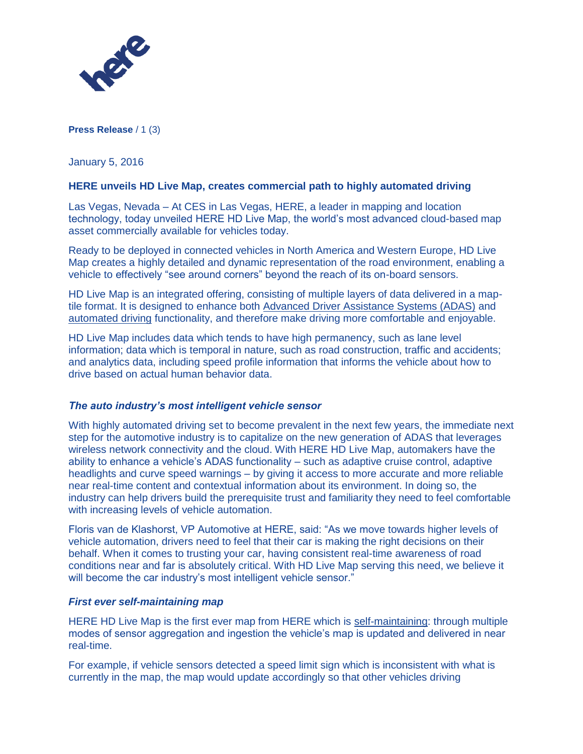

**Press Release** / 1 (3)

January 5, 2016

### **HERE unveils HD Live Map, creates commercial path to highly automated driving**

Las Vegas, Nevada – At CES in Las Vegas, HERE, a leader in mapping and location technology, today unveiled HERE HD Live Map, the world's most advanced cloud-based map asset commercially available for vehicles today.

Ready to be deployed in connected vehicles in North America and Western Europe, HD Live Map creates a highly detailed and dynamic representation of the road environment, enabling a vehicle to effectively "see around corners" beyond the reach of its on-board sensors.

HD Live Map is an integrated offering, consisting of multiple layers of data delivered in a maptile format. It is designed to enhance both [Advanced Driver Assistance Systems \(ADAS\)](http://360.here.com/2015/12/14/how-map-based-adas-can-make-you-a-better-driver/) and [automated driving](http://360.here.com/2015/06/02/take-create-autonomous-cars/) functionality, and therefore make driving more comfortable and enjoyable.

HD Live Map includes data which tends to have high permanency, such as lane level information; data which is temporal in nature, such as road construction, traffic and accidents; and analytics data, including speed profile information that informs the vehicle about how to drive based on actual human behavior data.

### *The auto industry's most intelligent vehicle sensor*

With highly automated driving set to become prevalent in the next few years, the immediate next step for the automotive industry is to capitalize on the new generation of ADAS that leverages wireless network connectivity and the cloud. With HERE HD Live Map, automakers have the ability to enhance a vehicle's ADAS functionality – such as adaptive cruise control, adaptive headlights and curve speed warnings – by giving it access to more accurate and more reliable near real-time content and contextual information about its environment. In doing so, the industry can help drivers build the prerequisite trust and familiarity they need to feel comfortable with increasing levels of vehicle automation.

Floris van de Klashorst, VP Automotive at HERE, said: "As we move towards higher levels of vehicle automation, drivers need to feel that their car is making the right decisions on their behalf. When it comes to trusting your car, having consistent real-time awareness of road conditions near and far is absolutely critical. With HD Live Map serving this need, we believe it will become the car industry's most intelligent vehicle sensor."

### *First ever self-maintaining map*

HERE HD Live Map is the first ever map from HERE which is [self-maintaining:](http://360.here.com/2015/06/23/here-sensor-data-ingestion/) through multiple modes of sensor aggregation and ingestion the vehicle's map is updated and delivered in near real-time.

For example, if vehicle sensors detected a speed limit sign which is inconsistent with what is currently in the map, the map would update accordingly so that other vehicles driving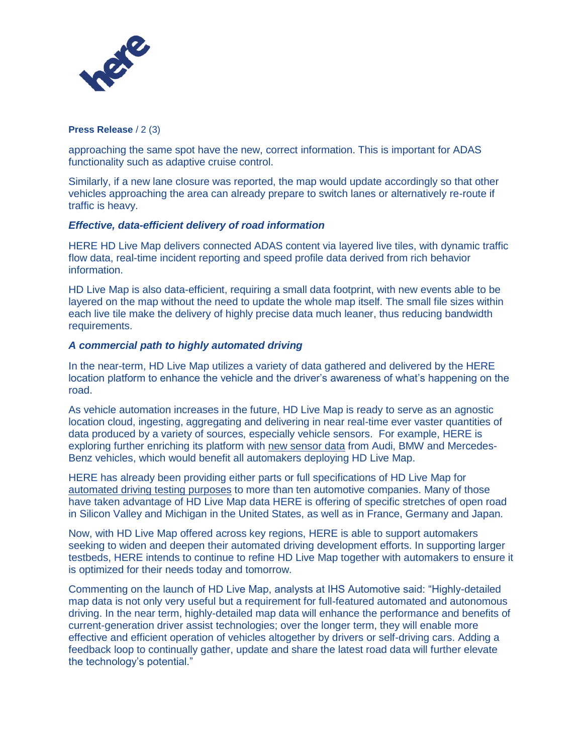

**Press Release** / 2 (3)

approaching the same spot have the new, correct information. This is important for ADAS functionality such as adaptive cruise control.

Similarly, if a new lane closure was reported, the map would update accordingly so that other vehicles approaching the area can already prepare to switch lanes or alternatively re-route if traffic is heavy.

# *Effective, data-efficient delivery of road information*

HERE HD Live Map delivers connected ADAS content via layered live tiles, with dynamic traffic flow data, real-time incident reporting and speed profile data derived from rich behavior information.

HD Live Map is also data-efficient, requiring a small data footprint, with new events able to be layered on the map without the need to update the whole map itself. The small file sizes within each live tile make the delivery of highly precise data much leaner, thus reducing bandwidth requirements.

# *A commercial path to highly automated driving*

In the near-term, HD Live Map utilizes a variety of data gathered and delivered by the HERE location platform to enhance the vehicle and the driver's awareness of what's happening on the road.

As vehicle automation increases in the future, HD Live Map is ready to serve as an agnostic location cloud, ingesting, aggregating and delivering in near real-time ever vaster quantities of data produced by a variety of sources, especially vehicle sensors. For example, HERE is exploring further enriching its platform with [new sensor data](http://360.here.com/2015/12/07/new-world-here/) from Audi, BMW and Mercedes-Benz vehicles, which would benefit all automakers deploying HD Live Map.

HERE has already been providing either parts or full specifications of HD Live Map for [automated driving testing purposes](http://360.here.com/2015/07/20/here-introduces-hd-maps-for-highly-automated-vehicle-testing/) to more than ten automotive companies. Many of those have taken advantage of HD Live Map data HERE is offering of specific stretches of open road in Silicon Valley and Michigan in the United States, as well as in France, Germany and Japan.

Now, with HD Live Map offered across key regions, HERE is able to support automakers seeking to widen and deepen their automated driving development efforts. In supporting larger testbeds, HERE intends to continue to refine HD Live Map together with automakers to ensure it is optimized for their needs today and tomorrow.

Commenting on the launch of HD Live Map, analysts at IHS Automotive said: "Highly-detailed map data is not only very useful but a requirement for full-featured automated and autonomous driving. In the near term, highly-detailed map data will enhance the performance and benefits of current-generation driver assist technologies; over the longer term, they will enable more effective and efficient operation of vehicles altogether by drivers or self-driving cars. Adding a feedback loop to continually gather, update and share the latest road data will further elevate the technology's potential."